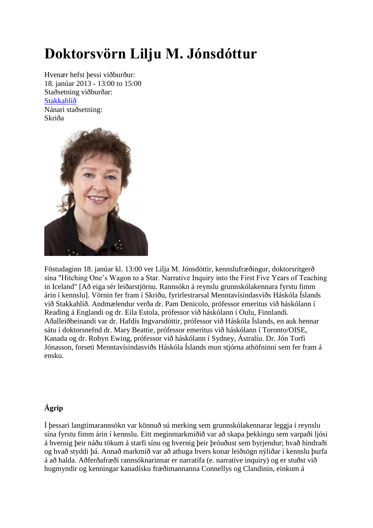## **Doktorsvörn Lilju M. Jónsdóttur**

Hvenær hefst þessi viðburður: 18. janúar 2013 - 13:00 to 15:00 Staðsetning viðburðar: [Stakkahlíð](http://wayback.vefsafn.is/wayback/20130430195639/http:/www.hi.is/stakkahlid) Nánari staðsetning: Skriða



Föstudaginn 18. janúar kl. 13:00 ver Lilja M. Jónsdóttir, kennslufræðingur, doktorsritgerð sína "Hitching One's Wagon to a Star. Narrative Inquiry into the First Five Years of Teaching in Iceland" [Að eiga sér leiðarstjörnu. Rannsókn á reynslu grunnskólakennara fyrstu fimm árin í kennslu]. Vörnin fer fram í Skriðu, fyrirlestrarsal Menntavísindasviðs Háskóla Íslands við Stakkahlíð. Andmælendur verða dr. Pam Denicolo, prófessor emeritus við háskólann í Reading á Englandi og dr. Eila Estola, prófessor við háskólann í Oulu, Finnlandi. Aðalleiðbeinandi var dr. Hafdís Ingvarsdóttir, prófessor við Háskóla Íslands, en auk hennar sátu í doktorsnefnd dr. Mary Beattie, prófessor emeritus við háskólann í Toronto/OISE, Kanada og dr. Robyn Ewing, prófessor við háskólann í Sydney, Ástralíu. Dr. Jón Torfi Jónasson, forseti Menntavísindasviðs Háskóla Íslands mun stjórna athöfninni sem fer fram á ensku.

## **Ágrip**

Í þessari langtímarannsókn var könnuð sú merking sem grunnskólakennarar leggja í reynslu sína fyrstu fimm árin í kennslu. Eitt meginmarkmiðið var að skapa þekkingu sem varpaði ljósi á hvernig þeir náðu tökum á starfi sínu og hvernig þeir þróuðust sem byrjendur; hvað hindraði og hvað styddi þá. Annað markmið var að athuga hvers konar leiðsögn nýliðar í kennslu þurfa á að halda. Aðferðafræði rannsóknarinnar er narratífa (e. narrative inquiry) og er stuðst við hugmyndir og kenningar kanadísku fræðimannanna Connellys og Clandinin, einkum á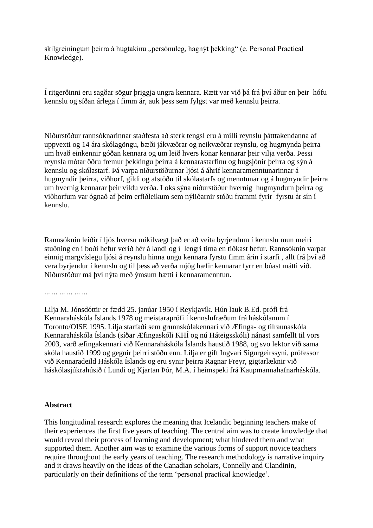skilgreiningum þeirra á hugtakinu "persónuleg, hagnýt þekking" (e. Personal Practical Knowledge).

Í ritgerðinni eru sagðar sögur þriggja ungra kennara. Rætt var við þá frá því áður en þeir hófu kennslu og síðan árlega í fimm ár, auk þess sem fylgst var með kennslu þeirra.

Niðurstöður rannsóknarinnar staðfesta að sterk tengsl eru á milli reynslu þátttakendanna af uppvexti og 14 ára skólagöngu, bæði jákvæðrar og neikvæðrar reynslu, og hugmynda þeirra um hvað einkennir góðan kennara og um leið hvers konar kennarar þeir vilja verða. Þessi reynsla mótar öðru fremur þekkingu þeirra á kennarastarfinu og hugsjónir þeirra og sýn á kennslu og skólastarf. Þá varpa niðurstöðurnar ljósi á áhrif kennaramenntunarinnar á hugmyndir þeirra, viðhorf, gildi og afstöðu til skólastarfs og menntunar og á hugmyndir þeirra um hvernig kennarar þeir vildu verða. Loks sýna niðurstöður hvernig hugmyndum þeirra og viðhorfum var ógnað af þeim erfiðleikum sem nýliðarnir stóðu frammi fyrir fyrstu ár sín í kennslu.

Rannsóknin leiðir í ljós hversu mikilvægt það er að veita byrjendum í kennslu mun meiri stuðning en í boði hefur verið hér á landi og í lengri tíma en tíðkast hefur. Rannsóknin varpar einnig margvíslegu ljósi á reynslu hinna ungu kennara fyrstu fimm árin í starfi , allt frá því að vera byrjendur í kennslu og til þess að verða mjög hæfir kennarar fyrr en búast mátti við. Niðurstöður má því nýta með ýmsum hætti í kennaramenntun.

... ... ... ... ... ...

Lilja M. Jónsdóttir er fædd 25. janúar 1950 í Reykjavík. Hún lauk B.Ed. prófi frá Kennaraháskóla Íslands 1978 og meistaraprófi í kennslufræðum frá háskólanum í Toronto/OISE 1995. Lilja starfaði sem grunnskólakennari við Æfinga- og tilraunaskóla Kennaraháskóla Íslands (síðar Æfingaskóli KHÍ og nú Háteigsskóli) nánast samfellt til vors 2003, varð æfingakennari við Kennaraháskóla Íslands haustið 1988, og svo lektor við sama skóla haustið 1999 og gegnir þeirri stöðu enn. Lilja er gift Ingvari Sigurgeirssyni, prófessor við Kennaradeild Háskóla Íslands og eru synir þeirra Ragnar Freyr, gigtarlæknir við háskólasjúkrahúsið í Lundi og Kjartan Þór, M.A. í heimspeki frá Kaupmannahafnarháskóla.

## **Abstract**

This longitudinal research explores the meaning that Icelandic beginning teachers make of their experiences the first five years of teaching. The central aim was to create knowledge that would reveal their process of learning and development; what hindered them and what supported them. Another aim was to examine the various forms of support novice teachers require throughout the early years of teaching. The research methodology is narrative inquiry and it draws heavily on the ideas of the Canadian scholars, Connelly and Clandinin, particularly on their definitions of the term 'personal practical knowledge'.